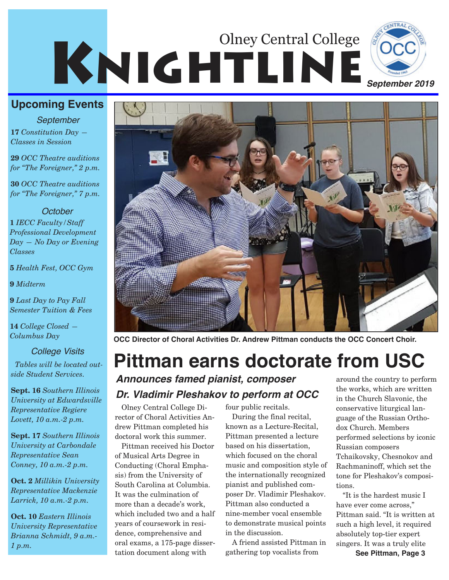# KNIGHTLINE<sup>OCC</sup> Olney Central College



**17** *Constitution Day — Classes in Session September*

**29** *OCC Theatre auditions for "The Foreigner," 2 p.m.* 

**30** *OCC Theatre auditions for "The Foreigner," 7 p.m.*

#### *October*

**1** *IECC Faculty/Staff Professional Development Day — No Day or Evening Classes*

**5** *Health Fest, OCC Gym*

**9** *Midterm*

**9** *Last Day to Pay Fall Semester Tuition & Fees*

**14** *College Closed — Columbus Day*

*Tables will be located outside Student Services.* 

**Sept. 16** *Southern Illinois University at Edwardsville Representative Regiere Lovett, 10 a.m.-2 p.m.*

**Sept. 17** *Southern Illinois University at Carbondale Representative Sean Conney, 10 a.m.-2 p.m.*

**Oct. 2** *Millikin University Representative Mackenzie Larrick, 10 a.m.-2 p.m.*

**Oct. 10** *Eastern Illinois University Representative Brianna Schmidt, 9 a.m.- 1 p.m.*



**OCC Director of Choral Activities Dr. Andrew Pittman conducts the OCC Concert Choir.**

## *College Visits* **Pittman earns doctorate from USC**

*Announces famed pianist, composer Dr. Vladimir Pleshakov to perform at OCC*

Olney Central College Director of Choral Activities Andrew Pittman completed his doctoral work this summer.

Pittman received his Doctor of Musical Arts Degree in Conducting (Choral Emphasis) from the University of South Carolina at Columbia. It was the culmination of more than a decade's work, which included two and a half years of coursework in residence, comprehensive and oral exams, a 175-page dissertation document along with

four public recitals.

During the final recital, known as a Lecture-Recital, Pittman presented a lecture based on his dissertation, which focused on the choral music and composition style of the internationally recognized pianist and published composer Dr. Vladimir Pleshakov. Pittman also conducted a nine-member vocal ensemble to demonstrate musical points in the discussion.

A friend assisted Pittman in gathering top vocalists from

around the country to perform the works, which are written in the Church Slavonic, the conservative liturgical language of the Russian Orthodox Church. Members performed selections by iconic Russian composers Tchaikovsky, Chesnokov and Rachmaninoff, which set the tone for Pleshakov's compositions.

"It is the hardest music I have ever come across," Pittman said. "It is written at such a high level, it required absolutely top-tier expert singers. It was a truly elite

**See Pittman, Page 3**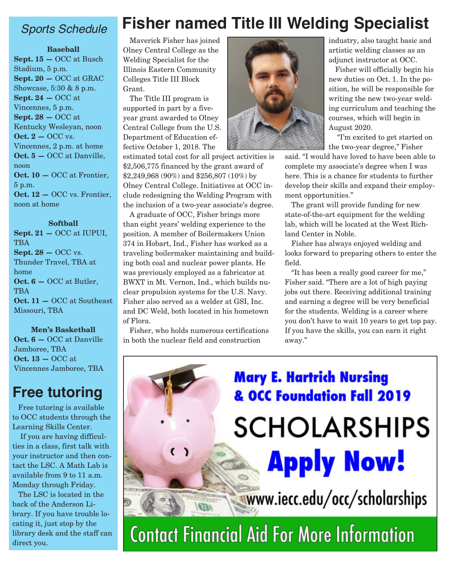#### *Sports Schedule*

#### **Baseball**

**Sept. 15 —** OCC at Busch Stadium, 5 p.m. **Sept. 20 —** OCC at GRAC Showcase, 5:30 & 8 p.m. **Sept. 24 —** OCC at Vincennes, 5 p.m. **Sept. 28 —** OCC at Kentucky Wesleyan, noon **Oct. 2 – OCC vs.** Vincennes, 2 p.m. at home **Oct. 5 —** OCC at Danville, noon **Oct. 10 —** OCC at Frontier, 5 p.m. **Oct. 12 —** OCC vs. Frontier, noon at home

#### **Softball**

**Sept. 21 —** OCC at IUPUI, TBA **Sept. 28 – OCC vs.** Thunder Travel, TBA at home **Oct. 6 —** OCC at Butler, **TBA Oct. 11 —** OCC at Southeast Missouri, TBA

#### **Men's Basketball**

**Oct. 6 —** OCC at Danville Jamboree, TBA **Oct. 13 —** OCC at Vincennes Jamboree, TBA

#### **Free tutoring**

Free tutoring is available to OCC students through the Learning Skills Center.

If you are having difficulties in a class, first talk with your instructor and then contact the LSC. A Math Lab is available from 9 to 11 a.m. Monday through Friday.

The LSC is located in the back of the Anderson Library. If you have trouble locating it, just stop by the library desk and the staff can direct you.

#### Maverick Fisher has joined Olney Central College as the Welding Specialist for the Illinois Eastern Community Colleges Title III Block Grant.

The Title III program is supported in part by a fiveyear grant awarded to Olney Central College from the U.S. Department of Education effective October 1, 2018. The

estimated total cost for all project activities is \$2,506,775 financed by the grant award of \$2,249,968 (90%) and \$256,807 (10%) by Olney Central College. Initiatives at OCC include redesigning the Welding Program with the inclusion of a two-year associate's degree.

A graduate of OCC, Fisher brings more than eight years' welding experience to the position. A member of Boilermakers Union 374 in Hobart, Ind., Fisher has worked as a traveling boilermaker maintaining and building both coal and nuclear power plants. He was previously employed as a fabricator at BWXT in Mt. Vernon, Ind., which builds nuclear propulsion systems for the U.S. Navy. Fisher also served as a welder at GSI, Inc. and DC Weld, both located in his hometown of Flora.

Fisher, who holds numerous certifications in both the nuclear field and construction

**WARRY** 



**Fisher named Title III Welding Specialist**

industry, also taught basic and artistic welding classes as an adjunct instructor at OCC.

Fisher will officially begin his new duties on Oct. 1. In the position, he will be responsible for writing the new two-year welding curriculum and teaching the courses, which will begin in August 2020.

"I'm excited to get started on the two-year degree," Fisher

said. "I would have loved to have been able to complete my associate's degree when I was here. This is a chance for students to further develop their skills and expand their employment opportunities."

The grant will provide funding for new state-of-the-art equipment for the welding lab, which will be located at the West Richland Center in Noble.

Fisher has always enjoyed welding and looks forward to preparing others to enter the field.

"It has been a really good career for me," Fisher said. "There are a lot of high paying jobs out there. Receiving additional training and earning a degree will be very beneficial for the students. Welding is a career where you don't have to wait 10 years to get top pay. If you have the skills, you can earn it right away."

## **Mary E. Hartrich Nursing & OCC Foundation Fall 2019** SCHOLARSHIPS **Apply Now!**

www.iecc.edu/occ/scholarships

**Contact Financial Aid For More Information**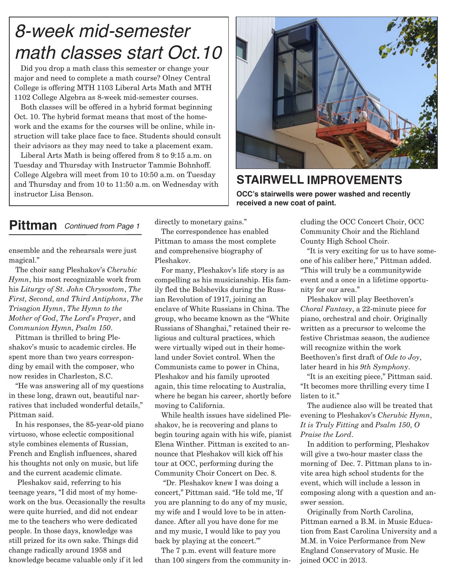### *8-week mid-semester math classes start Oct.10*

Did you drop a math class this semester or change your major and need to complete a math course? Olney Central College is offering MTH 1103 Liberal Arts Math and MTH 1102 College Algebra as 8-week mid-semester courses.

Both classes will be offered in a hybrid format beginning Oct. 10. The hybrid format means that most of the homework and the exams for the courses will be online, while instruction will take place face to face. Students should consult their advisors as they may need to take a placement exam.

Liberal Arts Math is being offered from 8 to 9:15 a.m. on Tuesday and Thursday with Instructor Tammie Bohnhoff. College Algebra will meet from 10 to 10:50 a.m. on Tuesday and Thursday and from 10 to 11:50 a.m. on Wednesday with instructor Lisa Benson.



#### **STAIRWELL IMPROVEMENTS OCC's stairwells were power washed and recently received a new coat of paint.**

#### **Pittman** *Continued from Page 1*

ensemble and the rehearsals were just magical."

The choir sang Pleshakov's *Cherubic Hymn*, his most recognizable work from his *Liturgy of St. John Chrysostom*, *The First, Second, and Third Antiphons*, *The Trisagion Hymn*, *The Hymn to the Mother of God*, *The Lord's Prayer*, and *Communion Hymn, Psalm 150*.

Pittman is thrilled to bring Pleshakov's music to academic circles. He spent more than two years corresponding by email with the composer, who now resides in Charleston, S.C.

"He was answering all of my questions in these long, drawn out, beautiful narratives that included wonderful details," Pittman said.

In his responses, the 85-year-old piano virtuoso, whose eclectic compositional style combines elements of Russian, French and English influences, shared his thoughts not only on music, but life and the current academic climate.

Pleshakov said, referring to his teenage years, "I did most of my homework on the bus. Occasionally the results were quite hurried, and did not endear me to the teachers who were dedicated people. In those days, knowledge was still prized for its own sake. Things did change radically around 1958 and knowledge became valuable only if it led

directly to monetary gains."

The correspondence has enabled Pittman to amass the most complete and comprehensive biography of Pleshakov.

For many, Pleshakov's life story is as compelling as his musicianship. His family fled the Bolsheviks during the Russian Revolution of 1917, joining an enclave of White Russians in China. The group, who became known as the "White Russians of Shanghai," retained their religious and cultural practices, which were virtually wiped out in their homeland under Soviet control. When the Communists came to power in China, Pleshakov and his family uprooted again, this time relocating to Australia, where he began his career, shortly before moving to California.

While health issues have sidelined Pleshakov, he is recovering and plans to begin touring again with his wife, pianist Elena Winther. Pittman is excited to announce that Pleshakov will kick off his tour at OCC, performing during the Community Choir Concert on Dec. 8.

"Dr. Pleshakov knew I was doing a concert," Pittman said. "He told me, 'If you are planning to do any of my music, my wife and I would love to be in attendance. After all you have done for me and my music, I would like to pay you back by playing at the concert.'"

The 7 p.m. event will feature more than 100 singers from the community including the OCC Concert Choir, OCC Community Choir and the Richland County High School Choir.

"It is very exciting for us to have someone of his caliber here," Pittman added. "This will truly be a communitywide event and a once in a lifetime opportunity for our area."

Pleshakov will play Beethoven's *Choral Fantasy*, a 22-minute piece for piano, orchestral and choir. Originally written as a precursor to welcome the festive Christmas season, the audience will recognize within the work Beethoven's first draft of *Ode to Joy*, later heard in his *9th Symphon*y.

"It is an exciting piece," Pittman said. "It becomes more thrilling every time I listen to it."

The audience also will be treated that evening to Pleshakov's *Cherubic Hymn*, *It is Truly Fitting* and *Psalm 150, O Praise the Lord*.

In addition to performing, Pleshakov will give a two-hour master class the morning of Dec. 7. Pittman plans to invite area high school students for the event, which will include a lesson in composing along with a question and answer session.

Originally from North Carolina, Pittman earned a B.M. in Music Education from East Carolina University and a M.M. in Voice Performance from New England Conservatory of Music. He joined OCC in 2013.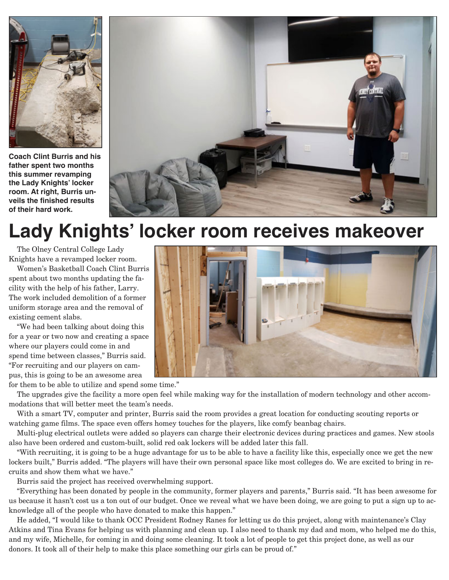

**Coach Clint Burris and his father spent two months this summer revamping the Lady Knights' locker room. At right, Burris unveils the finished results of their hard work.**



## **Lady Knights' locker room receives makeover**

The Olney Central College Lady Knights have a revamped locker room.

Women's Basketball Coach Clint Burris spent about two months updating the facility with the help of his father, Larry. The work included demolition of a former uniform storage area and the removal of existing cement slabs.

"We had been talking about doing this for a year or two now and creating a space where our players could come in and spend time between classes," Burris said. "For recruiting and our players on campus, this is going to be an awesome area

for them to be able to utilize and spend some time."

The upgrades give the facility a more open feel while making way for the installation of modern technology and other accommodations that will better meet the team's needs.

With a smart TV, computer and printer, Burris said the room provides a great location for conducting scouting reports or watching game films. The space even offers homey touches for the players, like comfy beanbag chairs.

Multi-plug electrical outlets were added so players can charge their electronic devices during practices and games. New stools also have been ordered and custom-built, solid red oak lockers will be added later this fall.

"With recruiting, it is going to be a huge advantage for us to be able to have a facility like this, especially once we get the new lockers built," Burris added. "The players will have their own personal space like most colleges do. We are excited to bring in recruits and show them what we have."

Burris said the project has received overwhelming support.

"Everything has been donated by people in the community, former players and parents," Burris said. "It has been awesome for us because it hasn't cost us a ton out of our budget. Once we reveal what we have been doing, we are going to put a sign up to acknowledge all of the people who have donated to make this happen."

He added, "I would like to thank OCC President Rodney Ranes for letting us do this project, along with maintenance's Clay Atkins and Tina Evans for helping us with planning and clean up. I also need to thank my dad and mom, who helped me do this, and my wife, Michelle, for coming in and doing some cleaning. It took a lot of people to get this project done, as well as our donors. It took all of their help to make this place something our girls can be proud of."